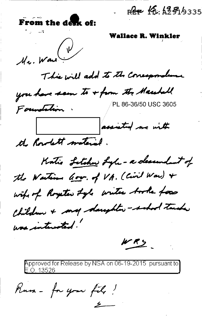Ree 16: 1251/9335 From the desk of: Wallace R. Winkler  $\left(\sqrt{\nu}\right)$ Mr. Wan This will add to the consequentions

you have seen to + from the Marshall /PL 86-36/50 USC 3605

Foundation. assisted me with the Rowlett material.

Katio Letcher Lyle - a desendant of the Wasting Gov. of VA. (Civil War) + wife of Royeter Lyle writer books for Children + my daughter-school turks was interested.

 $443$ 

Approved for Release by NSA on 06-19-2015 pursuant to E.O. 13526

Kusa - for your fil, !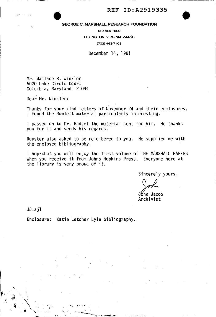

## REF ID: A2919335<br>GEORGE C. MARSHALL RESEARCH FOUNDATION GEORGE C. MARSHALL RESEARCH FOUNDATION

DRAWER 1600 LEXINGTON, VIRGINIA 24450 (703) 463-7103

December 14, 1981

Mr. Wallace R. Winkler 5020 Lake Circle Court Columbia, Maryland 21044

Dear Mr. Winkler:

Thanks for your kind letters of November 24 and their enclosures. I found the Rowlett material particularly interesting.

I passed on to Dr. Hadsel the material sent for him. He thanks you for it and sends his regards.

Royster also asked to be remembered to you. He supplied me with the enclosed bibliography.

I hope that you will enjoy the first volume of THE MARSHALL PAPERS when you receive it from Johns Hopkins Press. Everyone here at the library is very proud of it.

Sincerely yours,

John

John Jacob Archivist

JJ:ajl

Enclosure: Katie Letcher Lyle bibliography.

·-.,......--·~ ·.·'~.~--~.ll..